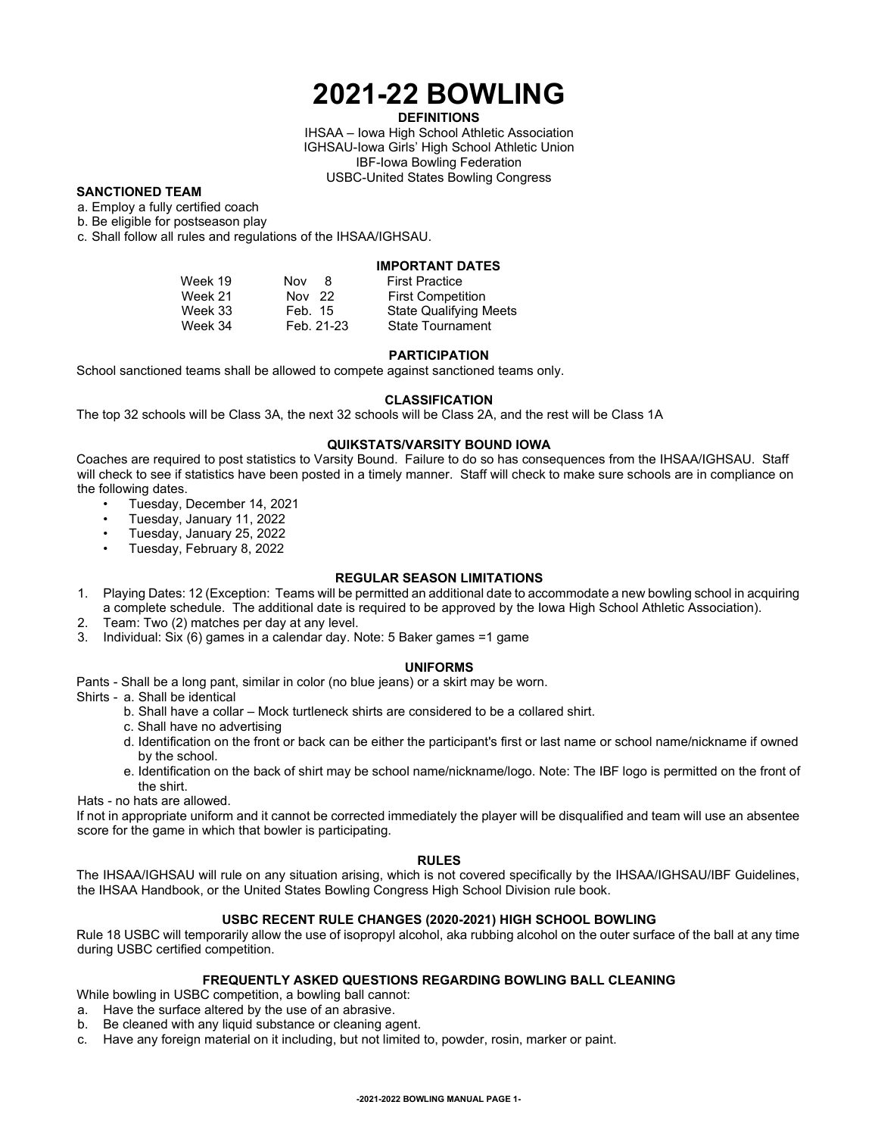# **2021-22 BOWLING**

## **DEFINITIONS**

IHSAA – Iowa High School Athletic Association IGHSAU-Iowa Girls' High School Athletic Union IBF-Iowa Bowling Federation USBC-United States Bowling Congress

## **SANCTIONED TEAM**

a. Employ a fully certified coach

b. Be eligible for postseason play

c. Shall follow all rules and regulations of the IHSAA/IGHSAU.

# **IMPORTANT DATES**

| Week 19 | Nov<br>8   | <b>First Practice</b>    |
|---------|------------|--------------------------|
| Week 21 | Nov 22     | <b>First Competition</b> |
| Week 33 | Feb. 15    | State Qualifying Meets   |
| Week 34 | Feb. 21-23 | <b>State Tournament</b>  |

#### **PARTICIPATION**

School sanctioned teams shall be allowed to compete against sanctioned teams only.

#### **CLASSIFICATION**

The top 32 schools will be Class 3A, the next 32 schools will be Class 2A, and the rest will be Class 1A

## **QUIKSTATS/VARSITY BOUND IOWA**

Coaches are required to post statistics to Varsity Bound. Failure to do so has consequences from the IHSAA/IGHSAU. Staff will check to see if statistics have been posted in a timely manner. Staff will check to make sure schools are in compliance on the following dates.

- Tuesday, December 14, 2021
- Tuesday, January 11, 2022
- Tuesday, January 25, 2022
- Tuesday, February 8, 2022

#### **REGULAR SEASON LIMITATIONS**

- 1. Playing Dates: 12 (Exception: Teams will be permitted an additional date to accommodate a new bowling school in acquiring a complete schedule. The additional date is required to be approved by the Iowa High School Athletic Association).
- 2. Team: Two (2) matches per day at any level.
- 3. Individual: Six (6) games in a calendar day. Note: 5 Baker games =1 game

#### **UNIFORMS**

Pants - Shall be a long pant, similar in color (no blue jeans) or a skirt may be worn.

Shirts - a. Shall be identical

- b. Shall have a collar Mock turtleneck shirts are considered to be a collared shirt.
- c. Shall have no advertising
- d. Identification on the front or back can be either the participant's first or last name or school name/nickname if owned by the school.
- e. Identification on the back of shirt may be school name/nickname/logo. Note: The IBF logo is permitted on the front of the shirt.

Hats - no hats are allowed.

If not in appropriate uniform and it cannot be corrected immediately the player will be disqualified and team will use an absentee score for the game in which that bowler is participating.

# **RULES**

The IHSAA/IGHSAU will rule on any situation arising, which is not covered specifically by the IHSAA/IGHSAU/IBF Guidelines, the IHSAA Handbook, or the United States Bowling Congress High School Division rule book.

# **USBC RECENT RULE CHANGES (2020-2021) HIGH SCHOOL BOWLING**

Rule 18 USBC will temporarily allow the use of isopropyl alcohol, aka rubbing alcohol on the outer surface of the ball at any time during USBC certified competition.

# **FREQUENTLY ASKED QUESTIONS REGARDING BOWLING BALL CLEANING**

While bowling in USBC competition, a bowling ball cannot:

a. Have the surface altered by the use of an abrasive.

- b. Be cleaned with any liquid substance or cleaning agent.
- c. Have any foreign material on it including, but not limited to, powder, rosin, marker or paint.

#### **-2021-2022 BOWLING MANUAL PAGE 1-**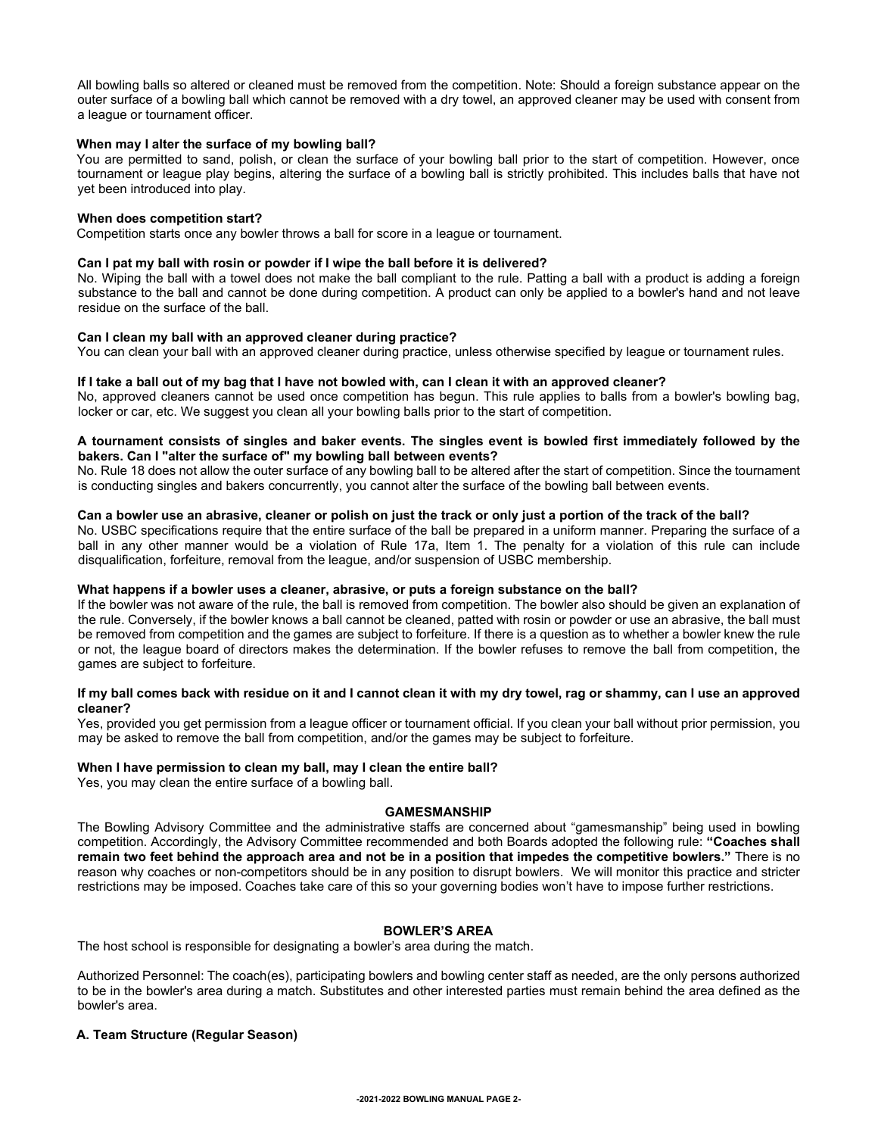All bowling balls so altered or cleaned must be removed from the competition. Note: Should a foreign substance appear on the outer surface of a bowling ball which cannot be removed with a dry towel, an approved cleaner may be used with consent from a league or tournament officer.

#### **When may I alter the surface of my bowling ball?**

You are permitted to sand, polish, or clean the surface of your bowling ball prior to the start of competition. However, once tournament or league play begins, altering the surface of a bowling ball is strictly prohibited. This includes balls that have not yet been introduced into play.

#### **When does competition start?**

Competition starts once any bowler throws a ball for score in a league or tournament.

## **Can I pat my ball with rosin or powder if I wipe the ball before it is delivered?**

No. Wiping the ball with a towel does not make the ball compliant to the rule. Patting a ball with a product is adding a foreign substance to the ball and cannot be done during competition. A product can only be applied to a bowler's hand and not leave residue on the surface of the ball.

## **Can I clean my ball with an approved cleaner during practice?**

You can clean your ball with an approved cleaner during practice, unless otherwise specified by league or tournament rules.

#### **If I take a ball out of my bag that I have not bowled with, can I clean it with an approved cleaner?**

No, approved cleaners cannot be used once competition has begun. This rule applies to balls from a bowler's bowling bag, locker or car, etc. We suggest you clean all your bowling balls prior to the start of competition.

## **A tournament consists of singles and baker events. The singles event is bowled first immediately followed by the bakers. Can I "alter the surface of" my bowling ball between events?**

No. Rule 18 does not allow the outer surface of any bowling ball to be altered after the start of competition. Since the tournament is conducting singles and bakers concurrently, you cannot alter the surface of the bowling ball between events.

## **Can a bowler use an abrasive, cleaner or polish on just the track or only just a portion of the track of the ball?**

No. USBC specifications require that the entire surface of the ball be prepared in a uniform manner. Preparing the surface of a ball in any other manner would be a violation of Rule 17a, Item 1. The penalty for a violation of this rule can include disqualification, forfeiture, removal from the league, and/or suspension of USBC membership.

#### **What happens if a bowler uses a cleaner, abrasive, or puts a foreign substance on the ball?**

If the bowler was not aware of the rule, the ball is removed from competition. The bowler also should be given an explanation of the rule. Conversely, if the bowler knows a ball cannot be cleaned, patted with rosin or powder or use an abrasive, the ball must be removed from competition and the games are subject to forfeiture. If there is a question as to whether a bowler knew the rule or not, the league board of directors makes the determination. If the bowler refuses to remove the ball from competition, the games are subject to forfeiture.

## **If my ball comes back with residue on it and I cannot clean it with my dry towel, rag or shammy, can I use an approved cleaner?**

Yes, provided you get permission from a league officer or tournament official. If you clean your ball without prior permission, you may be asked to remove the ball from competition, and/or the games may be subject to forfeiture.

#### **When I have permission to clean my ball, may I clean the entire ball?**

Yes, you may clean the entire surface of a bowling ball.

#### **GAMESMANSHIP**

The Bowling Advisory Committee and the administrative staffs are concerned about "gamesmanship" being used in bowling competition. Accordingly, the Advisory Committee recommended and both Boards adopted the following rule: **"Coaches shall remain two feet behind the approach area and not be in a position that impedes the competitive bowlers."** There is no reason why coaches or non-competitors should be in any position to disrupt bowlers. We will monitor this practice and stricter restrictions may be imposed. Coaches take care of this so your governing bodies won't have to impose further restrictions.

#### **BOWLER'S AREA**

The host school is responsible for designating a bowler's area during the match.

Authorized Personnel: The coach(es), participating bowlers and bowling center staff as needed, are the only persons authorized to be in the bowler's area during a match. Substitutes and other interested parties must remain behind the area defined as the bowler's area.

#### **A. Team Structure (Regular Season)**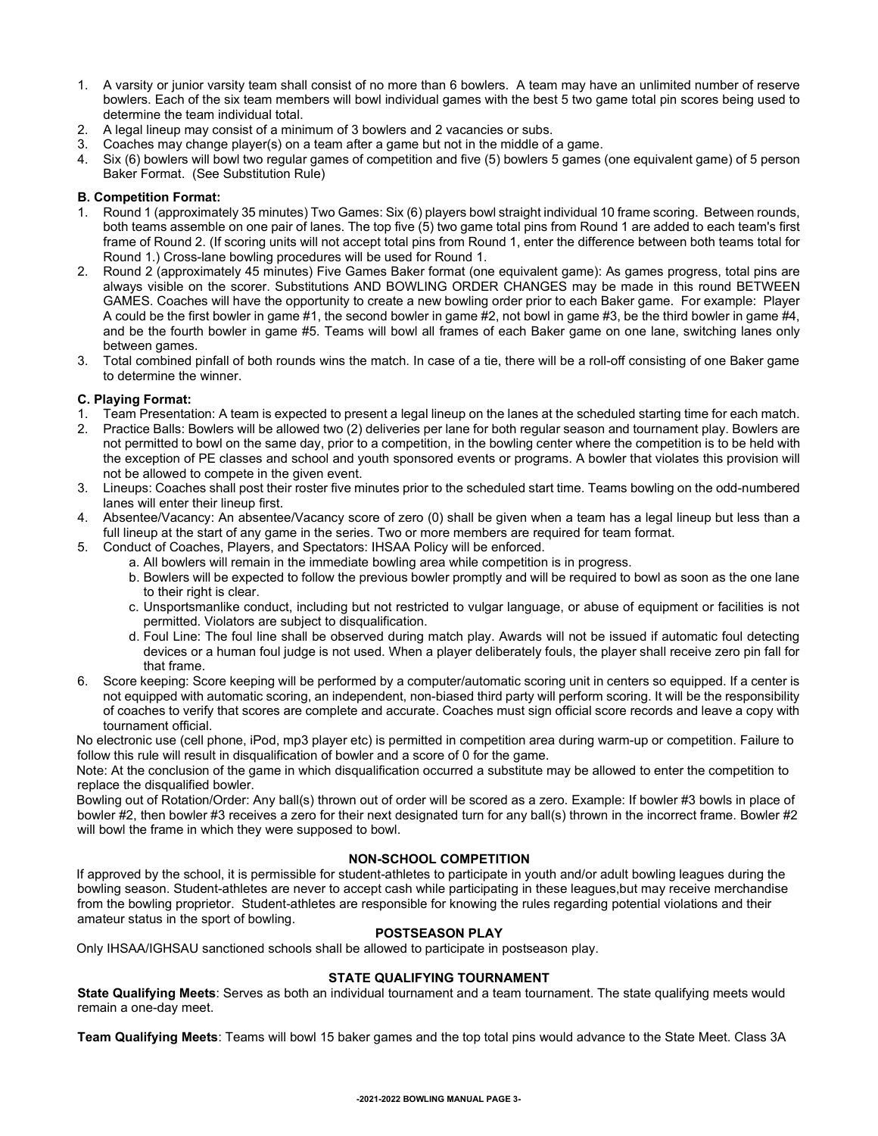- 1. A varsity or junior varsity team shall consist of no more than 6 bowlers. A team may have an unlimited number of reserve bowlers. Each of the six team members will bowl individual games with the best 5 two game total pin scores being used to determine the team individual total.
- 2. A legal lineup may consist of a minimum of 3 bowlers and 2 vacancies or subs.
- 3. Coaches may change player(s) on a team after a game but not in the middle of a game.
- 4. Six (6) bowlers will bowl two regular games of competition and five (5) bowlers 5 games (one equivalent game) of 5 person Baker Format. (See Substitution Rule)

# **B. Competition Format:**

- 1. Round 1 (approximately 35 minutes) Two Games: Six (6) players bowl straight individual 10 frame scoring. Between rounds, both teams assemble on one pair of lanes. The top five (5) two game total pins from Round 1 are added to each team's first frame of Round 2. (If scoring units will not accept total pins from Round 1, enter the difference between both teams total for Round 1.) Cross-lane bowling procedures will be used for Round 1.
- 2. Round 2 (approximately 45 minutes) Five Games Baker format (one equivalent game): As games progress, total pins are always visible on the scorer. Substitutions AND BOWLING ORDER CHANGES may be made in this round BETWEEN GAMES. Coaches will have the opportunity to create a new bowling order prior to each Baker game. For example: Player A could be the first bowler in game #1, the second bowler in game #2, not bowl in game #3, be the third bowler in game #4, and be the fourth bowler in game #5. Teams will bowl all frames of each Baker game on one lane, switching lanes only between games.
- 3. Total combined pinfall of both rounds wins the match. In case of a tie, there will be a roll-off consisting of one Baker game to determine the winner.

# **C. Playing Format:**

- 1. Team Presentation: A team is expected to present a legal lineup on the lanes at the scheduled starting time for each match.
- 2. Practice Balls: Bowlers will be allowed two (2) deliveries per lane for both regular season and tournament play. Bowlers are not permitted to bowl on the same day, prior to a competition, in the bowling center where the competition is to be held with the exception of PE classes and school and youth sponsored events or programs. A bowler that violates this provision will not be allowed to compete in the given event.
- 3. Lineups: Coaches shall post their roster five minutes prior to the scheduled start time. Teams bowling on the odd-numbered lanes will enter their lineup first.
- 4. Absentee/Vacancy: An absentee/Vacancy score of zero (0) shall be given when a team has a legal lineup but less than a full lineup at the start of any game in the series. Two or more members are required for team format.
- 5. Conduct of Coaches, Players, and Spectators: IHSAA Policy will be enforced.
	- a. All bowlers will remain in the immediate bowling area while competition is in progress.
		- b. Bowlers will be expected to follow the previous bowler promptly and will be required to bowl as soon as the one lane to their right is clear.
		- c. Unsportsmanlike conduct, including but not restricted to vulgar language, or abuse of equipment or facilities is not permitted. Violators are subject to disqualification.
		- d. Foul Line: The foul line shall be observed during match play. Awards will not be issued if automatic foul detecting devices or a human foul judge is not used. When a player deliberately fouls, the player shall receive zero pin fall for that frame.
- 6. Score keeping: Score keeping will be performed by a computer/automatic scoring unit in centers so equipped. If a center is not equipped with automatic scoring, an independent, non-biased third party will perform scoring. It will be the responsibility of coaches to verify that scores are complete and accurate. Coaches must sign official score records and leave a copy with tournament official.

No electronic use (cell phone, iPod, mp3 player etc) is permitted in competition area during warm-up or competition. Failure to follow this rule will result in disqualification of bowler and a score of 0 for the game.

Note: At the conclusion of the game in which disqualification occurred a substitute may be allowed to enter the competition to replace the disqualified bowler.

Bowling out of Rotation/Order: Any ball(s) thrown out of order will be scored as a zero. Example: If bowler #3 bowls in place of bowler #2, then bowler #3 receives a zero for their next designated turn for any ball(s) thrown in the incorrect frame. Bowler #2 will bowl the frame in which they were supposed to bowl.

# **NON-SCHOOL COMPETITION**

If approved by the school, it is permissible for student-athletes to participate in youth and/or adult bowling leagues during the bowling season. Student-athletes are never to accept cash while participating in these leagues,but may receive merchandise from the bowling proprietor. Student-athletes are responsible for knowing the rules regarding potential violations and their amateur status in the sport of bowling.

# **POSTSEASON PLAY**

Only IHSAA/IGHSAU sanctioned schools shall be allowed to participate in postseason play.

# **STATE QUALIFYING TOURNAMENT**

**State Qualifying Meets**: Serves as both an individual tournament and a team tournament. The state qualifying meets would remain a one-day meet.

**Team Qualifying Meets**: Teams will bowl 15 baker games and the top total pins would advance to the State Meet. Class 3A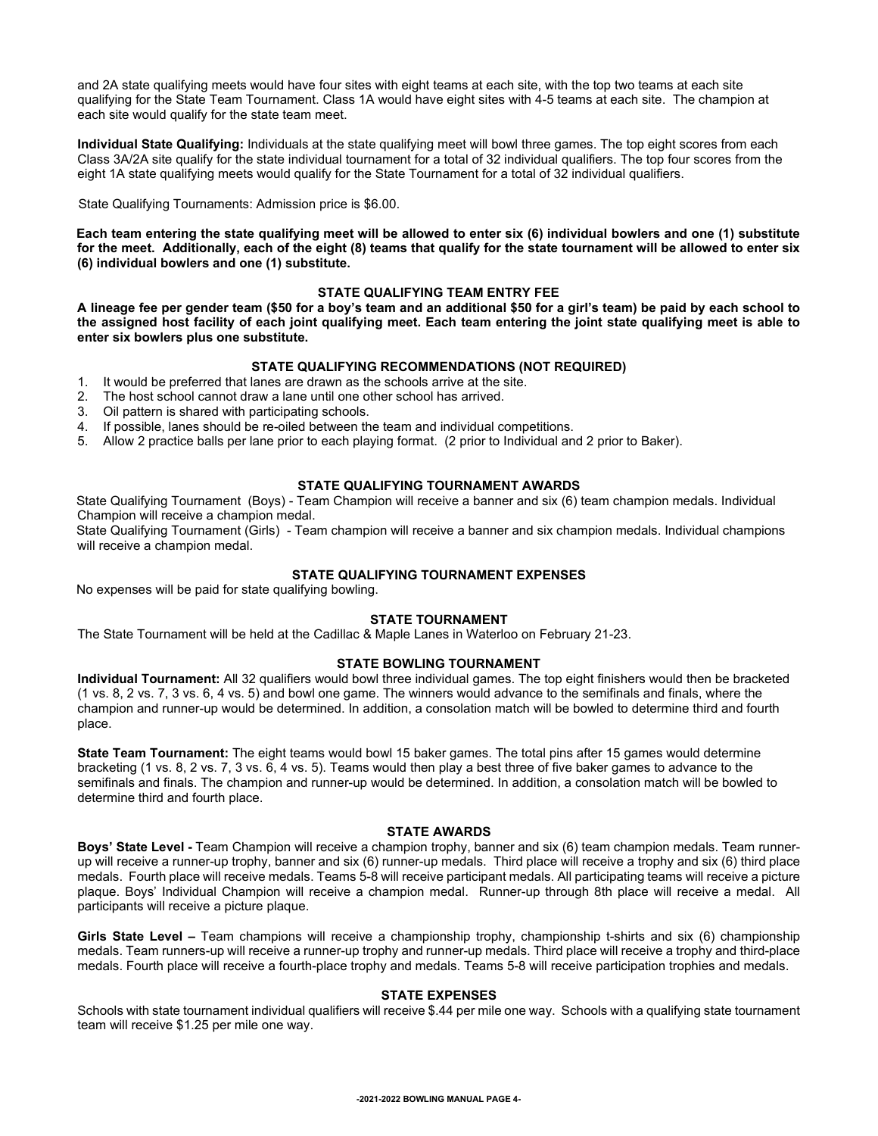and 2A state qualifying meets would have four sites with eight teams at each site, with the top two teams at each site qualifying for the State Team Tournament. Class 1A would have eight sites with 4-5 teams at each site. The champion at each site would qualify for the state team meet.

**Individual State Qualifying:** Individuals at the state qualifying meet will bowl three games. The top eight scores from each Class 3A/2A site qualify for the state individual tournament for a total of 32 individual qualifiers. The top four scores from the eight 1A state qualifying meets would qualify for the State Tournament for a total of 32 individual qualifiers.

State Qualifying Tournaments: Admission price is \$6.00.

**Each team entering the state qualifying meet will be allowed to enter six (6) individual bowlers and one (1) substitute for the meet. Additionally, each of the eight (8) teams that qualify for the state tournament will be allowed to enter six (6) individual bowlers and one (1) substitute.** 

# **STATE QUALIFYING TEAM ENTRY FEE**

**A lineage fee per gender team (\$50 for a boy's team and an additional \$50 for a girl's team) be paid by each school to the assigned host facility of each joint qualifying meet. Each team entering the joint state qualifying meet is able to enter six bowlers plus one substitute.** 

# **STATE QUALIFYING RECOMMENDATIONS (NOT REQUIRED)**

- 1. It would be preferred that lanes are drawn as the schools arrive at the site.
- 2. The host school cannot draw a lane until one other school has arrived.
- 3. Oil pattern is shared with participating schools.
- 4. If possible, lanes should be re-oiled between the team and individual competitions.
- 5. Allow 2 practice balls per lane prior to each playing format. (2 prior to Individual and 2 prior to Baker).

# **STATE QUALIFYING TOURNAMENT AWARDS**

State Qualifying Tournament (Boys) - Team Champion will receive a banner and six (6) team champion medals. Individual Champion will receive a champion medal.

State Qualifying Tournament (Girls) - Team champion will receive a banner and six champion medals. Individual champions will receive a champion medal.

# **STATE QUALIFYING TOURNAMENT EXPENSES**

No expenses will be paid for state qualifying bowling.

# **STATE TOURNAMENT**

The State Tournament will be held at the Cadillac & Maple Lanes in Waterloo on February 21-23.

# **STATE BOWLING TOURNAMENT**

**Individual Tournament:** All 32 qualifiers would bowl three individual games. The top eight finishers would then be bracketed (1 vs. 8, 2 vs. 7, 3 vs. 6, 4 vs. 5) and bowl one game. The winners would advance to the semifinals and finals, where the champion and runner-up would be determined. In addition, a consolation match will be bowled to determine third and fourth place.

**State Team Tournament:** The eight teams would bowl 15 baker games. The total pins after 15 games would determine bracketing (1 vs. 8, 2 vs. 7, 3 vs. 6, 4 vs. 5). Teams would then play a best three of five baker games to advance to the semifinals and finals. The champion and runner-up would be determined. In addition, a consolation match will be bowled to determine third and fourth place.

#### **STATE AWARDS**

**Boys' State Level -** Team Champion will receive a champion trophy, banner and six (6) team champion medals. Team runnerup will receive a runner-up trophy, banner and six (6) runner-up medals. Third place will receive a trophy and six (6) third place medals. Fourth place will receive medals. Teams 5-8 will receive participant medals. All participating teams will receive a picture plaque. Boys' Individual Champion will receive a champion medal. Runner-up through 8th place will receive a medal. All participants will receive a picture plaque.

**Girls State Level –** Team champions will receive a championship trophy, championship t-shirts and six (6) championship medals. Team runners-up will receive a runner-up trophy and runner-up medals. Third place will receive a trophy and third-place medals. Fourth place will receive a fourth-place trophy and medals. Teams 5-8 will receive participation trophies and medals.

## **STATE EXPENSES**

Schools with state tournament individual qualifiers will receive \$.44 per mile one way. Schools with a qualifying state tournament team will receive \$1.25 per mile one way.